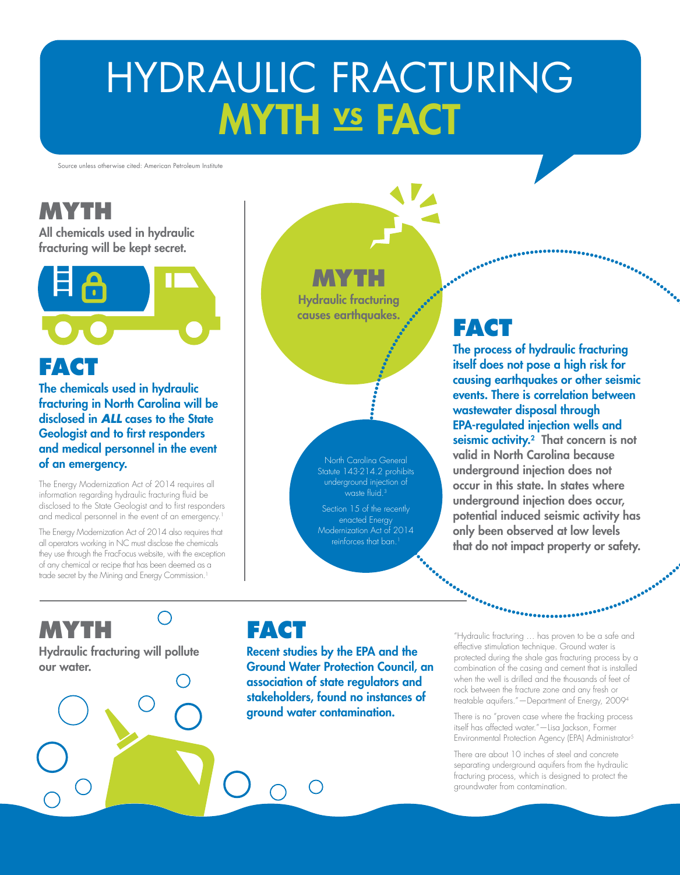# HYDRAULIC FRACTURING **MYTH VS FACT**

Source unless otherwise cited: American Petroleum Institute

### **MYTH**

All chemicals used in hydraulic fracturing will be kept secret.



The chemicals used in hydraulic fracturing in North Carolina will be disclosed in *ALL* cases to the State Geologist and to first responders and medical personnel in the event of an emergency.

The Energy Modernization Act of 2014 requires all information regarding hydraulic fracturing fluid be disclosed to the State Geologist and to first responders and medical personnel in the event of an emergency.<sup>1</sup>

The Energy Modernization Act of 2014 also requires that all operators working in NC must disclose the chemicals they use through the FracFocus website, with the exception of any chemical or recipe that has been deemed as a trade secret by the Mining and Energy Commission.<sup>1</sup>

 $\bigcap$ 

## **MYTH**

Hydraulic fracturing causes earthquakes.

#### North Carolina General Statute 143-214.2 prohibits underground injection of waste fluid.<sup>3</sup>

Section 15 of the recently enacted Energy Modernization Act of 2014 reinforces that ban.<sup>1</sup>

## **FACT**

isseresseresseresser<br>Allen Serbisseresseresser<br>Allen Serbisseresseresser

The process of hydraulic fracturing itself does not pose a high risk for causing earthquakes or other seismic events. There is correlation between wastewater disposal through EPA-regulated injection wells and seismic activity.<sup>2</sup> That concern is not valid in North Carolina because underground injection does not occur in this state. In states where underground injection does occur, potential induced seismic activity has only been observed at low levels that do not impact property or safety.

## **MYTH**

Hydraulic fracturing will pollute our water.

### **FACT**

Recent studies by the EPA and the Ground Water Protection Council, an association of state regulators and stakeholders, found no instances of ground water contamination.

"Hydraulic fracturing … has proven to be a safe and effective stimulation technique. Ground water is protected during the shale gas fracturing process by a combination of the casing and cement that is installed when the well is drilled and the thousands of feet of rock between the fracture zone and any fresh or treatable aquifers."—Department of Energy, 20094

..........

There is no "proven case where the fracking process itself has affected water."—Lisa Jackson, Former Environmental Protection Agency (EPA) Administrator5

There are about 10 inches of steel and concrete separating underground aquifers from the hydraulic fracturing process, which is designed to protect the groundwater from contamination.